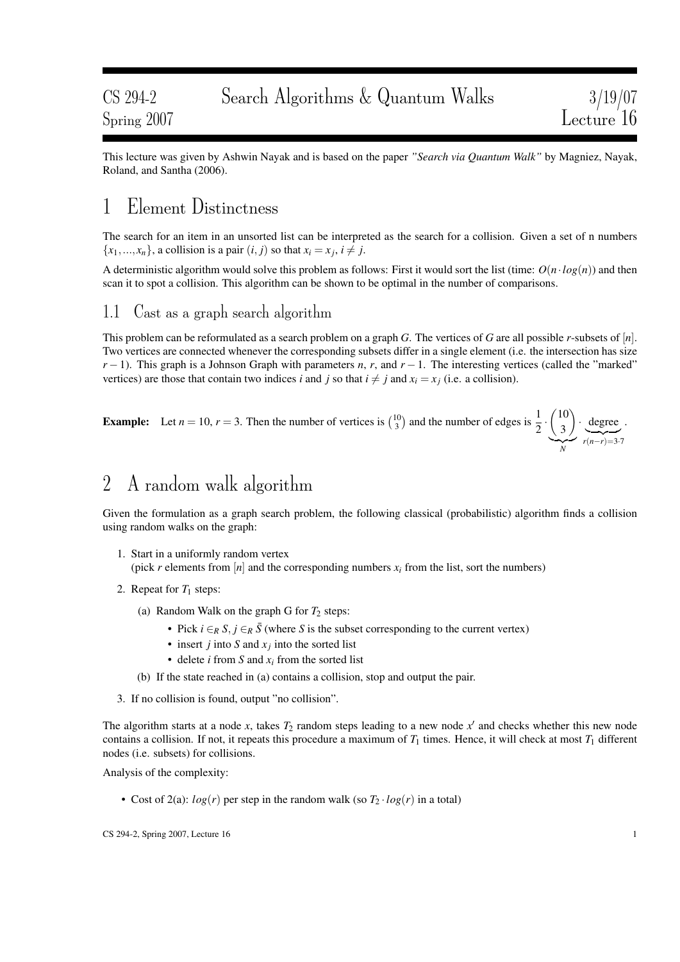This lecture was given by Ashwin Nayak and is based on the paper *"Search via Quantum Walk"* by Magniez, Nayak, Roland, and Santha (2006).

## 1 Element Distinctness

The search for an item in an unsorted list can be interpreted as the search for a collision. Given a set of n numbers  ${x_1, ..., x_n}$ , a collision is a pair  $(i, j)$  so that  $x_i = x_j$ ,  $i \neq j$ .

A deterministic algorithm would solve this problem as follows: First it would sort the list (time:  $O(n \cdot log(n))$  and then scan it to spot a collision. This algorithm can be shown to be optimal in the number of comparisons.

### 1.1 Cast as a graph search algorithm

This problem can be reformulated as a search problem on a graph *G*. The vertices of *G* are all possible *r*-subsets of [*n*]. Two vertices are connected whenever the corresponding subsets differ in a single element (i.e. the intersection has size  $r-1$ ). This graph is a Johnson Graph with parameters *n*, *r*, and  $r-1$ . The interesting vertices (called the "marked" vertices) are those that contain two indices *i* and *j* so that  $i \neq j$  and  $x_i = x_j$  (i.e. a collision).

**Example:** Let 
$$
n = 10
$$
,  $r = 3$ . Then the number of vertices is  $\binom{10}{3}$  and the number of edges is  $\frac{1}{2} \cdot \underbrace{\binom{10}{3}}_{N} \cdot \underbrace{\text{degree}}_{r(n-r)=3.7}$ .

## 2 A random walk algorithm

Given the formulation as a graph search problem, the following classical (probabilistic) algorithm finds a collision using random walks on the graph:

- 1. Start in a uniformly random vertex (pick *r* elements from  $[n]$  and the corresponding numbers  $x_i$  from the list, sort the numbers)
- 2. Repeat for  $T_1$  steps:
	- (a) Random Walk on the graph G for  $T_2$  steps:
		- Pick  $i \in_R S, j \in_R \overline{S}$  (where *S* is the subset corresponding to the current vertex)
		- insert *j* into *S* and  $x_j$  into the sorted list
		- delete *i* from *S* and *x<sup>i</sup>* from the sorted list
	- (b) If the state reached in (a) contains a collision, stop and output the pair.
- 3. If no collision is found, output "no collision".

The algorithm starts at a node x, takes  $T_2$  random steps leading to a new node  $x'$  and checks whether this new node contains a collision. If not, it repeats this procedure a maximum of  $T_1$  times. Hence, it will check at most  $T_1$  different nodes (i.e. subsets) for collisions.

Analysis of the complexity:

• Cost of 2(a):  $log(r)$  per step in the random walk (so  $T_2 \cdot log(r)$  in a total)

 $\text{CS } 294-2$ , Spring 2007, Lecture 16 1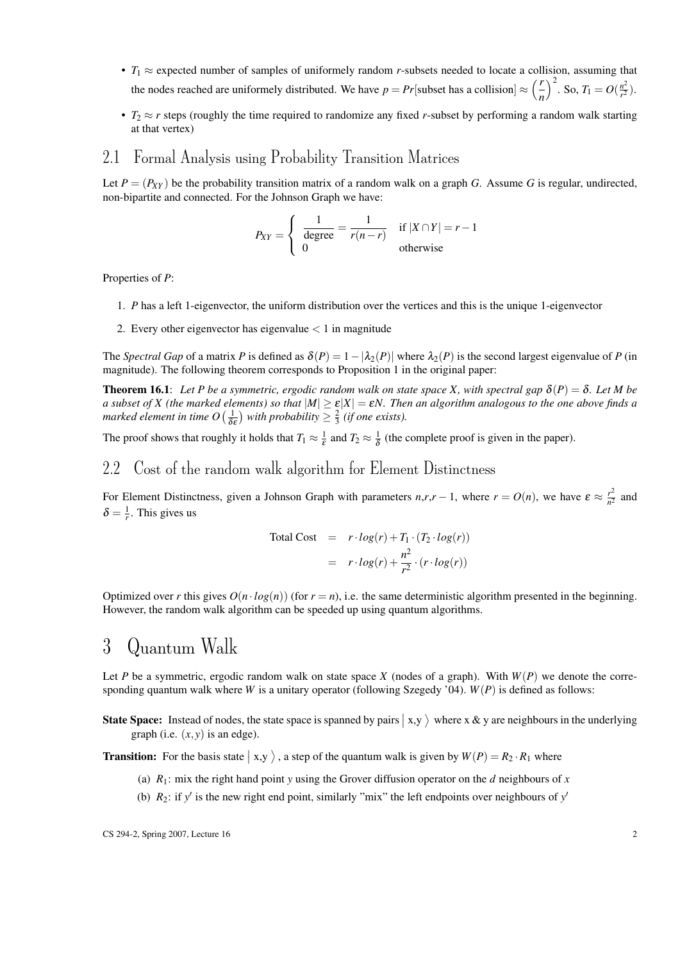- $T_1 \approx$  expected number of samples of uniformely random *r*-subsets needed to locate a collision, assuming that the nodes reached are uniformely distributed. We have  $p = Pr$  [subset has a collision]  $\approx \binom{r}{r}$ *n*  $\int_0^2$ . So,  $T_1 = O(\frac{n^2}{r^2})$  $\frac{n^2}{r^2}$ ).
- $T_2 \approx r$  steps (roughly the time required to randomize any fixed *r*-subset by performing a random walk starting at that vertex)

#### 2.1 Formal Analysis using Probability Transition Matrices

Let  $P = (P_{XY})$  be the probability transition matrix of a random walk on a graph *G*. Assume *G* is regular, undirected, non-bipartite and connected. For the Johnson Graph we have:

$$
P_{XY} = \begin{cases} \frac{1}{\text{degree}} = \frac{1}{r(n-r)} & \text{if } |X \cap Y| = r - 1\\ 0 & \text{otherwise} \end{cases}
$$

Properties of *P*:

- 1. *P* has a left 1-eigenvector, the uniform distribution over the vertices and this is the unique 1-eigenvector
- 2. Every other eigenvector has eigenvalue  $< 1$  in magnitude

The *Spectral Gap* of a matrix *P* is defined as  $\delta(P) = 1 - |\lambda_2(P)|$  where  $\lambda_2(P)$  is the second largest eigenvalue of *P* (in magnitude). The following theorem corresponds to Proposition 1 in the original paper:

**Theorem 16.1**: Let P be a symmetric, ergodic random walk on state space X, with spectral gap  $\delta(P) = \delta$ . Let M be *a subset of X (the marked elements) so that*  $|M| \ge \varepsilon |X| = \varepsilon N$ . Then an algorithm analogous to the one above finds a *marked element in time O*  $\left(\frac{1}{\delta}\right)$  $\frac{1}{\delta \varepsilon}$ ) with probability  $\geq \frac{2}{3}$  (if one exists).

The proof shows that roughly it holds that  $T_1 \approx \frac{1}{\varepsilon}$  and  $T_2 \approx \frac{1}{\delta}$  $\frac{1}{\delta}$  (the complete proof is given in the paper).

#### 2.2 Cost of the random walk algorithm for Element Distinctness

For Element Distinctness, given a Johnson Graph with parameters  $n, r, r - 1$ , where  $r = O(n)$ , we have  $\varepsilon \approx \frac{r^2}{n^2}$  $\frac{r^2}{n^2}$  and  $\delta = \frac{1}{r}$ . This gives us

Total Cost = 
$$
r \cdot log(r) + T_1 \cdot (T_2 \cdot log(r))
$$
  
=  $r \cdot log(r) + \frac{n^2}{r^2} \cdot (r \cdot log(r))$ 

Optimized over *r* this gives  $O(n \cdot log(n))$  (for  $r = n$ ), i.e. the same deterministic algorithm presented in the beginning. However, the random walk algorithm can be speeded up using quantum algorithms.

### 3 Quantum Walk

Let *P* be a symmetric, ergodic random walk on state space *X* (nodes of a graph). With  $W(P)$  we denote the corresponding quantum walk where *W* is a unitary operator (following Szegedy '04). *W*(*P*) is defined as follows:

State Space: Instead of nodes, the state space is spanned by pairs  $(x, y)$  where x & y are neighbours in the underlying graph (i.e.  $(x, y)$  is an edge).

**Transition:** For the basis state  $|x, y \rangle$ , a step of the quantum walk is given by  $W(P) = R_2 \cdot R_1$  where

- (a)  $R_1$ : mix the right hand point *y* using the Grover diffusion operator on the *d* neighbours of *x*
- (b)  $R_2$ : if *y'* is the new right end point, similarly "mix" the left endpoints over neighbours of *y'*

 $\text{CS } 294-2$ , Spring 2007, Lecture 16 2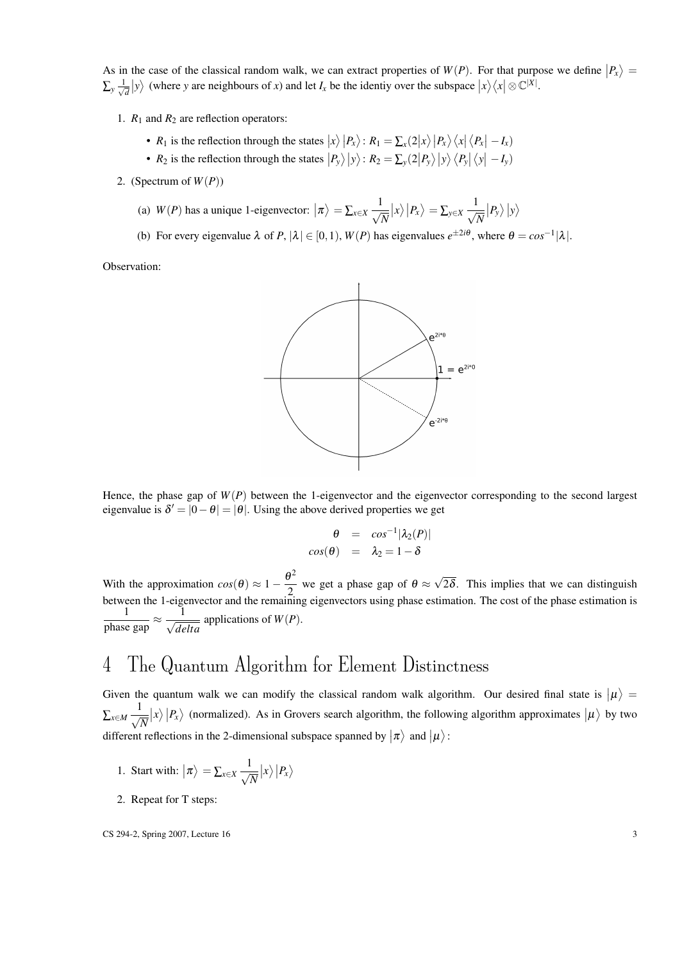As in the case of the classical random walk, we can extract properties of  $W(P)$ . For that purpose we define  $|P_x\rangle =$  $\sum_{y} \frac{1}{\sqrt{2}}$  $\frac{1}{d}|y\rangle$  (where *y* are neighbours of *x*) and let *I<sub>x</sub>* be the identiy over the subspace  $|x\rangle\langle x| \otimes \mathbb{C}^{|X|}$ .

- 1. *R*<sup>1</sup> and *R*<sup>2</sup> are reflection operators:
	- $R_1$  is the reflection through the states  $|x\rangle |P_x\rangle$ :  $R_1 = \sum_x (2|x\rangle |P_x\rangle \langle x | \langle P_x | -I_x \rangle)$
	- $R_2$  is the reflection through the states  $|P_y\rangle|y\rangle$ :  $R_2 = \sum_y (2|P_y\rangle|y\rangle\langle P_y|\langle y|-I_y\rangle)$
- 2. (Spectrum of  $W(P)$ )
	- (a)  $W(P)$  has a unique 1-eigenvector:  $|\pi\rangle = \sum_{x \in X} \frac{1}{\sqrt{2\pi}}$ *N*  $|x\rangle |P_x\rangle = \sum_{y\in X} \frac{1}{\sqrt{2}}$ *N*  $|P_y\rangle|y\rangle$
	- (b) For every eigenvalue  $\lambda$  of  $P$ ,  $|\lambda| \in [0,1)$ ,  $W(P)$  has eigenvalues  $e^{\pm 2i\theta}$ , where  $\theta = \cos^{-1} |\lambda|$ .

Observation:



Hence, the phase gap of  $W(P)$  between the 1-eigenvector and the eigenvector corresponding to the second largest eigenvalue is  $\delta' = |0 - \theta| = |\theta|$ . Using the above derived properties we get

$$
\theta = \cos^{-1} |\lambda_2(P)|
$$
  

$$
\cos(\theta) = \lambda_2 = 1 - \delta
$$

With the approximation  $cos(\theta) \approx 1 - \frac{\theta^2}{2}$  $\frac{2}{2}$  we get a phase gap of  $\theta \approx$ √ 2 $\delta$ . This implies that we can distinguish between the 1-eigenvector and the remaining eigenvectors using phase estimation. The cost of the phase estimation is 1  $\frac{1}{\text{phase gap}} \approx \frac{1}{\sqrt{de}}$  $\frac{d}{delta}$  applications of  $W(P)$ .

# 4 The Quantum Algorithm for Element Distinctness

Given the quantum walk we can modify the classical random walk algorithm. Our desired final state is  $|\mu\rangle =$ ∑*x*∈*M*  $\frac{1}{\sqrt{2}}$ *N*  $|x\rangle |P_x\rangle$  (normalized). As in Grovers search algorithm, the following algorithm approximates  $|\mu\rangle$  by two different reflections in the 2-dimensional subspace spanned by  $|\pi\rangle$  and  $|\mu\rangle$ :

- 1. Start with:  $|\pi\rangle = \sum_{x \in X} \frac{1}{\sqrt{x}}$ *N*  $\left| x \right\rangle \left| P_x \right\rangle$
- 2. Repeat for T steps:

 $\text{CS } 294-2$ , Spring 2007, Lecture 16  $\text{CS } 294-2$ , Spring 2007, Lecture 16